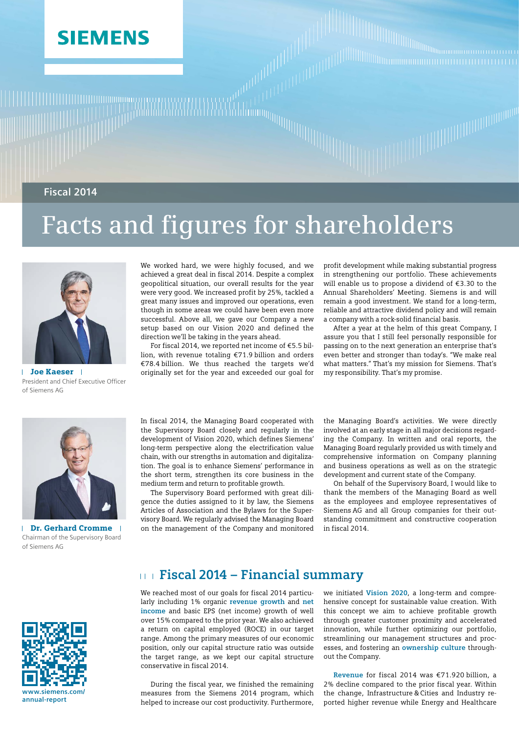# **SIEMENS**

**Fiscal 2014**

# **Facts and figures for shareholders**



Joe Kaeser  $\mathbf{I}$ President and Chief Executive Officer of Siemens AG

We worked hard, we were highly focused, and we achieved a great deal in fiscal 2014. Despite a complex geopolitical situation, our overall results for the year were very good. We increased profit by 25%, tackled a great many issues and improved our operations, even though in some areas we could have been even more successful. Above all, we gave our Company a new setup based on our Vision 2020 and defined the direction we'll be taking in the years ahead.

For fiscal 2014, we reported net income of €5.5 billion, with revenue totaling €71.9 billion and orders €78.4 billion. We thus reached the targets we'd originally set for the year and exceeded our goal for profit development while making substantial progress in strengthening our portfolio. These achievements will enable us to propose a dividend of €3.30 to the Annual Shareholders' Meeting. Siemens is and will remain a good investment. We stand for a long-term, reliable and attractive dividend policy and will remain a company with a rock-solid financial basis.

After a year at the helm of this great Company, I assure you that I still feel personally responsible for passing on to the next generation an enterprise that's even better and stronger than today's. "We make real what matters." That's my mission for Siemens. That's my responsibility. That's my promise.



 $\mathbf{I}$ Dr. Gerhard Cromme Chairman of the Supervisory Board of Siemens AG



In fiscal 2014, the Managing Board cooperated with the Supervisory Board closely and regularly in the development of Vision 2020, which defines Siemens' long-term perspective along the electrification value chain, with our strengths in automation and digitalization. The goal is to enhance Siemens' performance in the short term, strengthen its core business in the medium term and return to profitable growth.

The Supervisory Board performed with great diligence the duties assigned to it by law, the Siemens Articles of Association and the Bylaws for the Supervisory Board. We regularly advised the Managing Board on the management of the Company and monitored

the Managing Board's activities. We were directly involved at an early stage in all major decisions regarding the Company. In written and oral reports, the Managing Board regularly provided us with timely and comprehensive information on Company planning and business operations as well as on the strategic development and current state of the Company.

On behalf of the Supervisory Board, I would like to thank the members of the Managing Board as well as the employees and employee representatives of Siemens AG and all Group companies for their outstanding commitment and constructive cooperation in fiscal 2014.

## **Fiscal 2014 – Financial summary**

We reached most of our goals for fiscal 2014 particularly including 1% organic **revenue growth** and **net income** and basic EPS (net income) growth of well over 15% compared to the prior year. We also achieved a return on capital employed (ROCE) in our target range. Among the primary measures of our economic position, only our capital structure ratio was outside the target range, as we kept our capital structure conservative in fiscal 2014.

During the fiscal year, we finished the remaining measures from the Siemens 2014 program, which helped to increase our cost productivity. Furthermore, we initiated **Vision 2020**, a long-term and comprehensive concept for sustainable value creation. With this concept we aim to achieve profitable growth through greater customer proximity and accelerated innovation, while further optimizing our portfolio, streamlining our management structures and processes, and fostering an **ownership culture** throughout the Company.

**Revenue** for fiscal 2014 was €71.920 billion, a 2% decline compared to the prior fiscal year. Within the change, Infrastructure & Cities and Industry reported higher revenue while Energy and Healthcare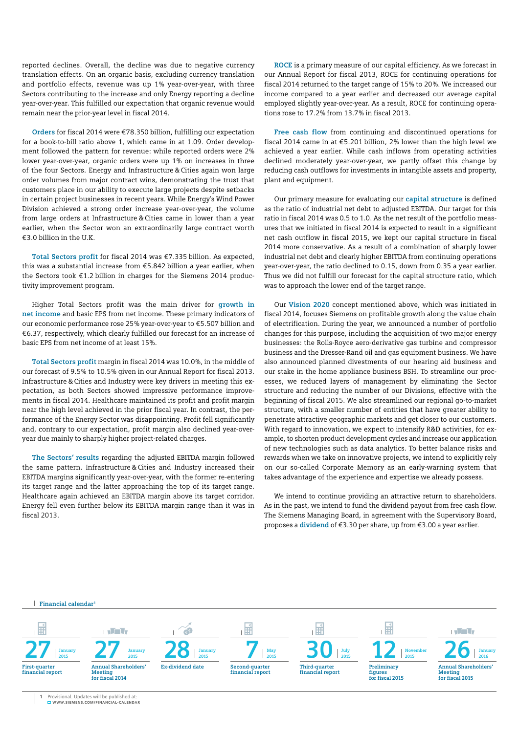reported declines. Overall, the decline was due to negative currency translation effects. On an organic basis, excluding currency translation and portfolio effects, revenue was up 1% year-over-year, with three Sectors contributing to the increase and only Energy reporting a decline year-over-year. This fulfilled our expectation that organic revenue would remain near the prior-year level in fiscal 2014.

**Orders** for fiscal 2014 were €78.350 billion, fulfilling our expectation for a book-to-bill ratio above 1, which came in at 1.09. Order development followed the pattern for revenue: while reported orders were 2% lower year-over-year, organic orders were up 1% on increases in three of the four Sectors. Energy and Infrastructure & Cities again won large order volumes from major contract wins, demonstrating the trust that customers place in our ability to execute large projects despite setbacks in certain project businesses in recent years. While Energy's Wind Power Division achieved a strong order increase year-over-year, the volume from large orders at Infrastructure & Cities came in lower than a year earlier, when the Sector won an extraordinarily large contract worth €3.0 billion in the U.K.

**Total Sectors profit** for fiscal 2014 was €7.335 billion. As expected, this was a substantial increase from €5.842 billion a year earlier, when the Sectors took €1.2 billion in charges for the Siemens 2014 productivity improvement program.

Higher Total Sectors profit was the main driver for **growth in net income** and basic EPS from net income. These primary indicators of our economic performance rose 25% year-over-year to €5.507 billion and €6.37, respectively, which clearly fulfilled our forecast for an increase of basic EPS from net income of at least 15%.

**Total Sectors profit** margin in fiscal 2014 was 10.0%, in the middle of our forecast of 9.5% to 10.5% given in our Annual Report for fiscal 2013. Infrastructure & Cities and Industry were key drivers in meeting this expectation, as both Sectors showed impressive performance improvements in fiscal 2014. Healthcare maintained its profit and profit margin near the high level achieved in the prior fiscal year. In contrast, the performance of the Energy Sector was disappointing. Profit fell significantly and, contrary to our expectation, profit margin also declined year-overyear due mainly to sharply higher project-related charges.

**The Sectors' results** regarding the adjusted EBITDA margin followed the same pattern. Infrastructure & Cities and Industry increased their EBITDA margins significantly year-over-year, with the former re-entering its target range and the latter approaching the top of its target range. Healthcare again achieved an EBITDA margin above its target corridor. Energy fell even further below its EBITDA margin range than it was in fiscal 2013.

**ROCE** is a primary measure of our capital efficiency. As we forecast in our Annual Report for fiscal 2013, ROCE for continuing operations for fiscal 2014 returned to the target range of 15% to 20%. We increased our income compared to a year earlier and decreased our average capital employed slightly year-over-year. As a result, ROCE for continuing operations rose to 17.2% from 13.7% in fiscal 2013.

**Free cash flow** from continuing and discontinued operations for fiscal 2014 came in at €5.201 billion, 2% lower than the high level we achieved a year earlier. While cash inflows from operating activities declined moderately year-over-year, we partly offset this change by reducing cash outflows for investments in intangible assets and property, plant and equipment.

Our primary measure for evaluating our **capital structure** is defined as the ratio of industrial net debt to adjusted EBITDA. Our target for this ratio in fiscal 2014 was 0.5 to 1.0. As the net result of the portfolio measures that we initiated in fiscal 2014 is expected to result in a significant net cash outflow in fiscal 2015, we kept our capital structure in fiscal 2014 more conservative. As a result of a combination of sharply lower industrial net debt and clearly higher EBITDA from continuing operations year-over-year, the ratio declined to 0.15, down from 0.35 a year earlier. Thus we did not fulfill our forecast for the capital structure ratio, which was to approach the lower end of the target range.

Our **Vision 2020** concept mentioned above, which was initiated in fiscal 2014, focuses Siemens on profitable growth along the value chain of electrification. During the year, we announced a number of portfolio changes for this purpose, including the acquisition of two major energy businesses: the Rolls-Royce aero-derivative gas turbine and compressor business and the Dresser-Rand oil and gas equipment business. We have also announced planned divestments of our hearing aid business and our stake in the home appliance business BSH. To streamline our processes, we reduced layers of management by eliminating the Sector structure and reducing the number of our Divisions, effective with the beginning of fiscal 2015. We also streamlined our regional go-to-market structure, with a smaller number of entities that have greater ability to penetrate attractive geographic markets and get closer to our customers. With regard to innovation, we expect to intensify R&D activities, for example, to shorten product development cycles and increase our application of new technologies such as data analytics. To better balance risks and rewards when we take on innovative projects, we intend to explicitly rely on our so-called Corporate Memory as an early-warning system that takes advantage of the experience and expertise we already possess.

We intend to continue providing an attractive return to shareholders. As in the past, we intend to fund the dividend payout from free cash flow. The Siemens Managing Board, in agreement with the Supervisory Board, proposes a **dividend** of €3.30 per share, up from €3.00 a year earlier.

#### **Financial calendar <sup>1</sup>**

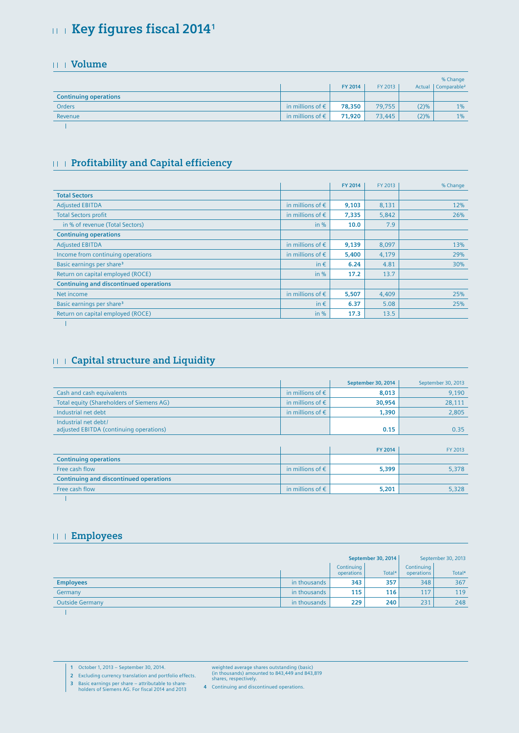# **Key figures fiscal 2014<sup>1</sup>**

#### **Volume**

|                              |                           |         |         |         | % Change                |
|------------------------------|---------------------------|---------|---------|---------|-------------------------|
|                              |                           | FY 2014 | FY 2013 | Actual  | Comparable <sup>2</sup> |
| <b>Continuing operations</b> |                           |         |         |         |                         |
| Orders                       | in millions of $\epsilon$ | 78,350  | 79,755  | $(2)\%$ | 1%                      |
| Revenue                      | in millions of $\epsilon$ | 71,920  | 73,445  | (2)%    | 1%                      |
|                              |                           |         |         |         |                         |

#### **Profitability and Capital efficiency**

|                                               |                           | FY 2014 | FY 2013 | % Change |
|-----------------------------------------------|---------------------------|---------|---------|----------|
| <b>Total Sectors</b>                          |                           |         |         |          |
| <b>Adjusted EBITDA</b>                        | in millions of $\epsilon$ | 9,103   | 8,131   | 12%      |
| <b>Total Sectors profit</b>                   | in millions of $\epsilon$ | 7,335   | 5,842   | 26%      |
| in % of revenue (Total Sectors)               | in $%$                    | 10.0    | 7.9     |          |
| <b>Continuing operations</b>                  |                           |         |         |          |
| <b>Adjusted EBITDA</b>                        | in millions of $\epsilon$ | 9,139   | 8,097   | 13%      |
| Income from continuing operations             | in millions of $\epsilon$ | 5,400   | 4,179   | 29%      |
| Basic earnings per share <sup>3</sup>         | in $\epsilon$             | 6.24    | 4.81    | 30%      |
| Return on capital employed (ROCE)             | in $%$                    | 17.2    | 13.7    |          |
| <b>Continuing and discontinued operations</b> |                           |         |         |          |
| Net income                                    | in millions of $\epsilon$ | 5,507   | 4,409   | 25%      |
| Basic earnings per share <sup>3</sup>         | in $\epsilon$             | 6.37    | 5.08    | 25%      |
| Return on capital employed (ROCE)             | in $%$                    | 17.3    | 13.5    |          |
|                                               |                           |         |         |          |

#### **Capital structure and Liquidity**

|                                                                  |                           | September 30, 2014 | September 30, 2013 |
|------------------------------------------------------------------|---------------------------|--------------------|--------------------|
| Cash and cash equivalents                                        | in millions of $\epsilon$ | 8,013              | 9,190              |
| Total equity (Shareholders of Siemens AG)                        | in millions of $\epsilon$ | 30,954             | 28,111             |
| Industrial net debt                                              | in millions of $\epsilon$ | 1,390              | 2,805              |
| Industrial net debt /<br>adjusted EBITDA (continuing operations) |                           | 0.15               | 0.35               |
|                                                                  |                           |                    |                    |
|                                                                  |                           | FY 2014            | FY 2013            |
| <b>Continuing operations</b>                                     |                           |                    |                    |
| Free cash flow                                                   | in millions of $\epsilon$ | 5,399              | 5,378              |
| <b>Continuing and discontinued operations</b>                    |                           |                    |                    |
| Free cash flow                                                   | in millions of $\epsilon$ | 5,201              | 5,328              |
|                                                                  |                           |                    |                    |

#### **Employees**

|                        |              | September 30, 2014       |                    | September 30, 2013       |                    |
|------------------------|--------------|--------------------------|--------------------|--------------------------|--------------------|
|                        |              | Continuing<br>operations | Total <sup>4</sup> | Continuing<br>operations | Total <sup>4</sup> |
| <b>Employees</b>       | in thousands | 343                      | 357                | 348                      | 367                |
| Germany                | in thousands | 115                      | 116                | 117                      | 119                |
| <b>Outside Germany</b> | in thousands | 229                      | 240                | 231                      | 248                |
|                        |              |                          |                    |                          |                    |

**1** October 1, 2013 – September 30, 2014.

weighted average shares outstanding (basic) (in thousands) amounted to 843,449 and 843,819 shares, respectively.

**2** Excluding currency translation and portfolio effects.

**3** Basic earnings per share – attributable to share-holders of Siemens AG. For fiscal 2014 and 2013

**4** Continuing and discontinued operations.